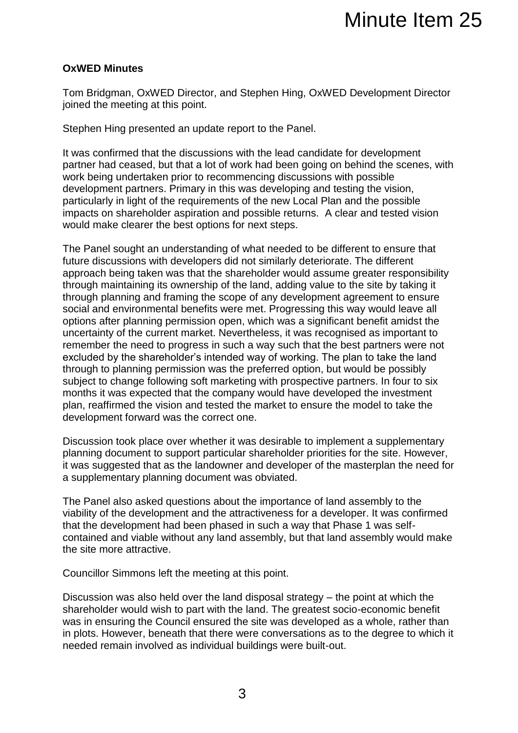## **OxWED Minutes**

Tom Bridgman, OxWED Director, and Stephen Hing, OxWED Development Director joined the meeting at this point.

Stephen Hing presented an update report to the Panel.

It was confirmed that the discussions with the lead candidate for development partner had ceased, but that a lot of work had been going on behind the scenes, with work being undertaken prior to recommencing discussions with possible development partners. Primary in this was developing and testing the vision, particularly in light of the requirements of the new Local Plan and the possible impacts on shareholder aspiration and possible returns. A clear and tested vision would make clearer the best options for next steps.

The Panel sought an understanding of what needed to be different to ensure that future discussions with developers did not similarly deteriorate. The different approach being taken was that the shareholder would assume greater responsibility through maintaining its ownership of the land, adding value to the site by taking it through planning and framing the scope of any development agreement to ensure social and environmental benefits were met. Progressing this way would leave all options after planning permission open, which was a significant benefit amidst the uncertainty of the current market. Nevertheless, it was recognised as important to remember the need to progress in such a way such that the best partners were not excluded by the shareholder's intended way of working. The plan to take the land through to planning permission was the preferred option, but would be possibly subject to change following soft marketing with prospective partners. In four to six months it was expected that the company would have developed the investment plan, reaffirmed the vision and tested the market to ensure the model to take the development forward was the correct one.

Discussion took place over whether it was desirable to implement a supplementary planning document to support particular shareholder priorities for the site. However, it was suggested that as the landowner and developer of the masterplan the need for a supplementary planning document was obviated.

The Panel also asked questions about the importance of land assembly to the viability of the development and the attractiveness for a developer. It was confirmed that the development had been phased in such a way that Phase 1 was selfcontained and viable without any land assembly, but that land assembly would make the site more attractive.

Councillor Simmons left the meeting at this point.

Discussion was also held over the land disposal strategy – the point at which the shareholder would wish to part with the land. The greatest socio-economic benefit was in ensuring the Council ensured the site was developed as a whole, rather than in plots. However, beneath that there were conversations as to the degree to which it needed remain involved as individual buildings were built-out.